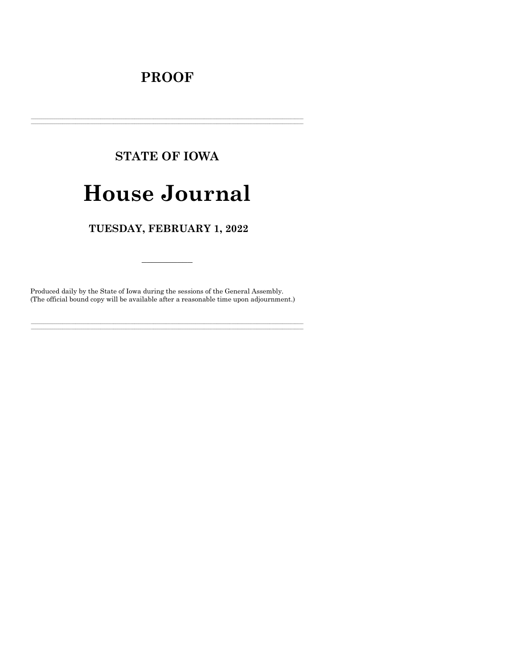# **PROOF**

# **STATE OF IOWA**

# **House Journal**

# TUESDAY, FEBRUARY 1, 2022

Produced daily by the State of Iowa during the sessions of the General Assembly. (The official bound copy will be available after a reasonable time upon adjournment.)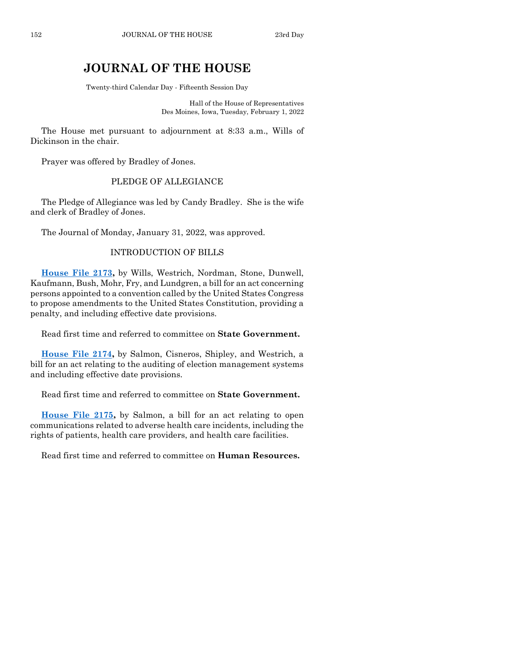# **JOURNAL OF THE HOUSE**

Twenty-third Calendar Day - Fifteenth Session Day

Hall of the House of Representatives Des Moines, Iowa, Tuesday, February 1, 2022

The House met pursuant to adjournment at 8:33 a.m., Wills of Dickinson in the chair.

Prayer was offered by Bradley of Jones.

# PLEDGE OF ALLEGIANCE

The Pledge of Allegiance was led by Candy Bradley. She is the wife and clerk of Bradley of Jones.

The Journal of Monday, January 31, 2022, was approved.

# INTRODUCTION OF BILLS

**[House File 2173,](https://www.legis.iowa.gov/legislation/BillBook?ga=89&ba=HF2173)** by Wills, Westrich, Nordman, Stone, Dunwell, Kaufmann, Bush, Mohr, Fry, and Lundgren, a bill for an act concerning persons appointed to a convention called by the United States Congress to propose amendments to the United States Constitution, providing a penalty, and including effective date provisions.

Read first time and referred to committee on **State Government.**

**[House File 2174,](https://www.legis.iowa.gov/legislation/BillBook?ga=89&ba=HF2174)** by Salmon, Cisneros, Shipley, and Westrich, a bill for an act relating to the auditing of election management systems and including effective date provisions.

Read first time and referred to committee on **State Government.**

**[House File 2175,](https://www.legis.iowa.gov/legislation/BillBook?ga=89&ba=HF2175)** by Salmon, a bill for an act relating to open communications related to adverse health care incidents, including the rights of patients, health care providers, and health care facilities.

Read first time and referred to committee on **Human Resources.**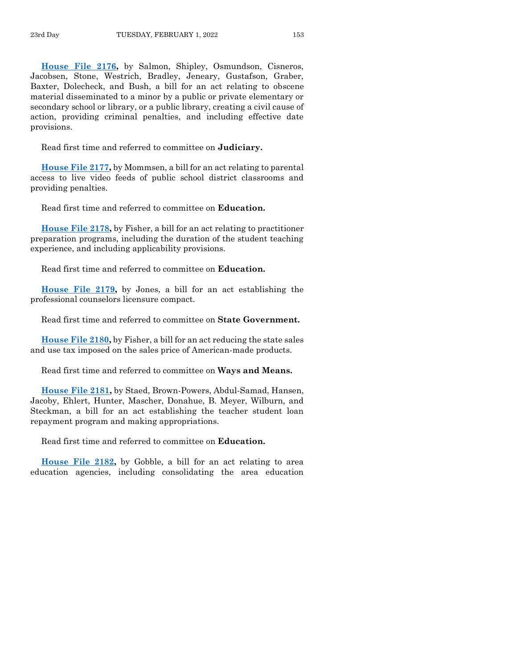**[House File 2176,](https://www.legis.iowa.gov/legislation/BillBook?ga=89&ba=HF2176)** by Salmon, Shipley, Osmundson, Cisneros, Jacobsen, Stone, Westrich, Bradley, Jeneary, Gustafson, Graber, Baxter, Dolecheck, and Bush, a bill for an act relating to obscene material disseminated to a minor by a public or private elementary or secondary school or library, or a public library, creating a civil cause of action, providing criminal penalties, and including effective date provisions.

Read first time and referred to committee on **Judiciary.**

**[House File 2177,](https://www.legis.iowa.gov/legislation/BillBook?ga=89&ba=HF2177)** by Mommsen, a bill for an act relating to parental access to live video feeds of public school district classrooms and providing penalties.

Read first time and referred to committee on **Education.**

**[House File 2178,](https://www.legis.iowa.gov/legislation/BillBook?ga=89&ba=HF2178)** by Fisher, a bill for an act relating to practitioner preparation programs, including the duration of the student teaching experience, and including applicability provisions.

Read first time and referred to committee on **Education.**

**[House File 2179,](https://www.legis.iowa.gov/legislation/BillBook?ga=89&ba=HF2179)** by Jones, a bill for an act establishing the professional counselors licensure compact.

Read first time and referred to committee on **State Government.**

**[House File 2180,](https://www.legis.iowa.gov/legislation/BillBook?ga=89&ba=HF2180)** by Fisher, a bill for an act reducing the state sales and use tax imposed on the sales price of American-made products.

Read first time and referred to committee on **Ways and Means.**

**[House File 2181,](https://www.legis.iowa.gov/legislation/BillBook?ga=89&ba=HF2181)** by Staed, Brown-Powers, Abdul-Samad, Hansen, Jacoby, Ehlert, Hunter, Mascher, Donahue, B. Meyer, Wilburn, and Steckman, a bill for an act establishing the teacher student loan repayment program and making appropriations.

Read first time and referred to committee on **Education.**

**[House File 2182,](https://www.legis.iowa.gov/legislation/BillBook?ga=89&ba=HF2182)** by Gobble, a bill for an act relating to area education agencies, including consolidating the area education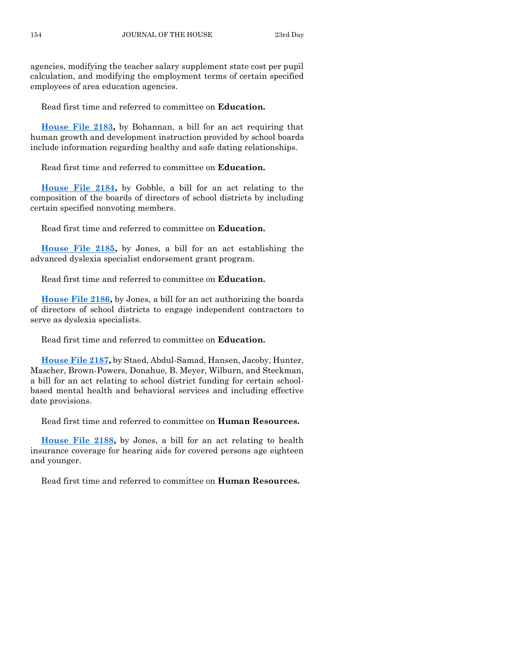agencies, modifying the teacher salary supplement state cost per pupil calculation, and modifying the employment terms of certain specified employees of area education agencies.

Read first time and referred to committee on **Education.**

**[House File 2183,](https://www.legis.iowa.gov/legislation/BillBook?ga=89&ba=HF2183)** by Bohannan, a bill for an act requiring that human growth and development instruction provided by school boards include information regarding healthy and safe dating relationships.

Read first time and referred to committee on **Education.**

**[House File 2184,](https://www.legis.iowa.gov/legislation/BillBook?ga=89&ba=HF2184)** by Gobble, a bill for an act relating to the composition of the boards of directors of school districts by including certain specified nonvoting members.

Read first time and referred to committee on **Education.**

**[House File 2185,](https://www.legis.iowa.gov/legislation/BillBook?ga=89&ba=HF2185)** by Jones, a bill for an act establishing the advanced dyslexia specialist endorsement grant program.

Read first time and referred to committee on **Education.**

**[House File 2186,](https://www.legis.iowa.gov/legislation/BillBook?ga=89&ba=HF2186)** by Jones, a bill for an act authorizing the boards of directors of school districts to engage independent contractors to serve as dyslexia specialists.

Read first time and referred to committee on **Education.**

**[House File 2187,](https://www.legis.iowa.gov/legislation/BillBook?ga=89&ba=HF2187)** by Staed, Abdul-Samad, Hansen, Jacoby, Hunter, Mascher, Brown-Powers, Donahue, B. Meyer, Wilburn, and Steckman, a bill for an act relating to school district funding for certain schoolbased mental health and behavioral services and including effective date provisions.

Read first time and referred to committee on **Human Resources.**

**[House File 2188,](https://www.legis.iowa.gov/legislation/BillBook?ga=89&ba=HF2188)** by Jones, a bill for an act relating to health insurance coverage for hearing aids for covered persons age eighteen and younger.

Read first time and referred to committee on **Human Resources.**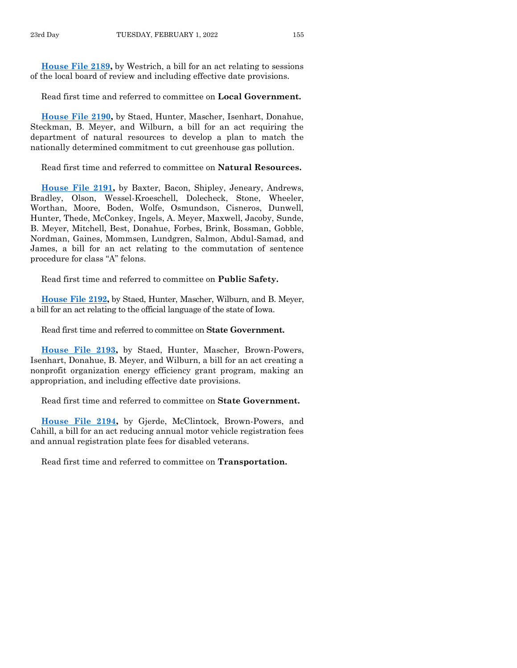**[House File 2189,](https://www.legis.iowa.gov/legislation/BillBook?ga=89&ba=HF2189)** by Westrich, a bill for an act relating to sessions of the local board of review and including effective date provisions.

Read first time and referred to committee on **Local Government.**

**[House File 2190,](https://www.legis.iowa.gov/legislation/BillBook?ga=89&ba=HF2190)** by Staed, Hunter, Mascher, Isenhart, Donahue, Steckman, B. Meyer, and Wilburn, a bill for an act requiring the department of natural resources to develop a plan to match the nationally determined commitment to cut greenhouse gas pollution.

Read first time and referred to committee on **Natural Resources.**

**[House File 2191,](https://www.legis.iowa.gov/legislation/BillBook?ga=89&ba=HF2191)** by Baxter, Bacon, Shipley, Jeneary, Andrews, Bradley, Olson, Wessel-Kroeschell, Dolecheck, Stone, Wheeler, Worthan, Moore, Boden, Wolfe, Osmundson, Cisneros, Dunwell, Hunter, Thede, McConkey, Ingels, A. Meyer, Maxwell, Jacoby, Sunde, B. Meyer, Mitchell, Best, Donahue, Forbes, Brink, Bossman, Gobble, Nordman, Gaines, Mommsen, Lundgren, Salmon, Abdul-Samad, and James, a bill for an act relating to the commutation of sentence procedure for class "A" felons.

Read first time and referred to committee on **Public Safety.**

**[House File 2192,](https://www.legis.iowa.gov/legislation/BillBook?ga=89&ba=HF2192)** by Staed, Hunter, Mascher, Wilburn, and B. Meyer, a bill for an act relating to the official language of the state of Iowa.

Read first time and referred to committee on **State Government.**

**[House File 2193,](https://www.legis.iowa.gov/legislation/BillBook?ga=89&ba=HF2193)** by Staed, Hunter, Mascher, Brown-Powers, Isenhart, Donahue, B. Meyer, and Wilburn, a bill for an act creating a nonprofit organization energy efficiency grant program, making an appropriation, and including effective date provisions.

Read first time and referred to committee on **State Government.**

**[House File 2194,](https://www.legis.iowa.gov/legislation/BillBook?ga=89&ba=HF2194)** by Gjerde, McClintock, Brown-Powers, and Cahill, a bill for an act reducing annual motor vehicle registration fees and annual registration plate fees for disabled veterans.

Read first time and referred to committee on **Transportation.**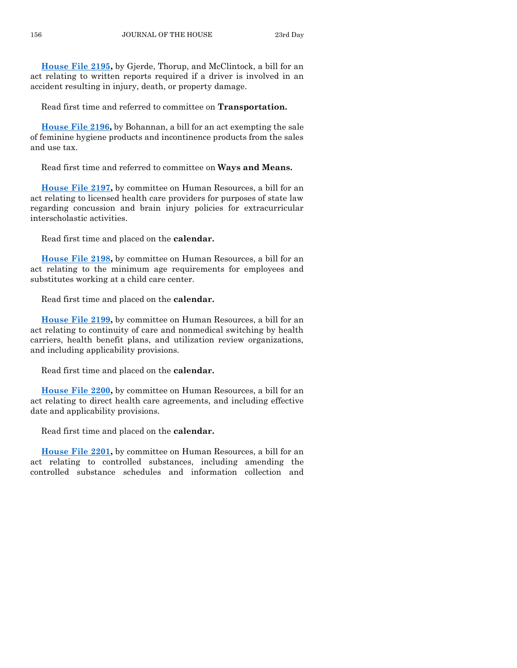**[House File 2195,](https://www.legis.iowa.gov/legislation/BillBook?ga=89&ba=HF2195)** by Gjerde, Thorup, and McClintock, a bill for an act relating to written reports required if a driver is involved in an accident resulting in injury, death, or property damage.

Read first time and referred to committee on **Transportation.**

**[House File 2196,](https://www.legis.iowa.gov/legislation/BillBook?ga=89&ba=HF2196)** by Bohannan, a bill for an act exempting the sale of feminine hygiene products and incontinence products from the sales and use tax.

Read first time and referred to committee on **Ways and Means.**

**[House File 2197,](https://www.legis.iowa.gov/legislation/BillBook?ga=89&ba=HF2197)** by committee on Human Resources, a bill for an act relating to licensed health care providers for purposes of state law regarding concussion and brain injury policies for extracurricular interscholastic activities.

Read first time and placed on the **calendar.**

**[House File 2198,](https://www.legis.iowa.gov/legislation/BillBook?ga=89&ba=HF2198)** by committee on Human Resources, a bill for an act relating to the minimum age requirements for employees and substitutes working at a child care center.

Read first time and placed on the **calendar.**

**[House File 2199,](https://www.legis.iowa.gov/legislation/BillBook?ga=89&ba=HF2199)** by committee on Human Resources, a bill for an act relating to continuity of care and nonmedical switching by health carriers, health benefit plans, and utilization review organizations, and including applicability provisions.

Read first time and placed on the **calendar.**

**[House File 2200,](https://www.legis.iowa.gov/legislation/BillBook?ga=89&ba=HF2200)** by committee on Human Resources, a bill for an act relating to direct health care agreements, and including effective date and applicability provisions.

Read first time and placed on the **calendar.**

**[House File 2201,](https://www.legis.iowa.gov/legislation/BillBook?ga=89&ba=HF2201)** by committee on Human Resources, a bill for an act relating to controlled substances, including amending the controlled substance schedules and information collection and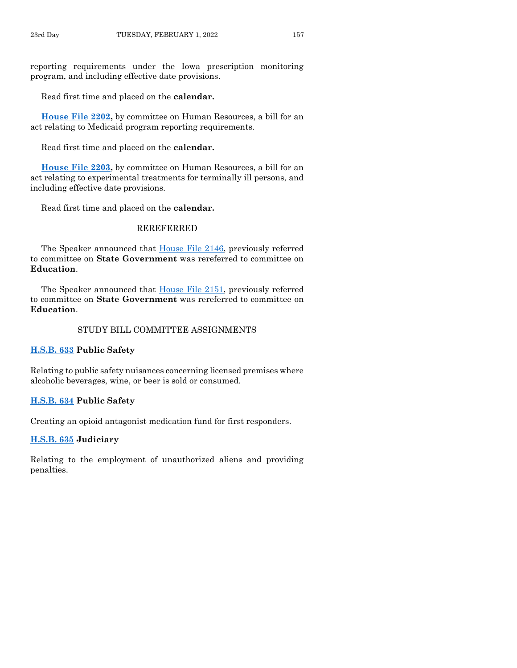reporting requirements under the Iowa prescription monitoring program, and including effective date provisions.

Read first time and placed on the **calendar.**

**[House File 2202,](https://www.legis.iowa.gov/legislation/BillBook?ga=89&ba=HF2202)** by committee on Human Resources, a bill for an act relating to Medicaid program reporting requirements.

Read first time and placed on the **calendar.**

**[House File 2203,](https://www.legis.iowa.gov/legislation/BillBook?ga=89&ba=HF2203)** by committee on Human Resources, a bill for an act relating to experimental treatments for terminally ill persons, and including effective date provisions.

Read first time and placed on the **calendar.**

## REREFERRED

The Speaker announced that [House File 2146,](https://www.legis.iowa.gov/legislation/BillBook?ga=89&ba=HF2146) previously referred to committee on **State Government** was rereferred to committee on **Education**.

The Speaker announced that [House File 2151,](https://www.legis.iowa.gov/legislation/BillBook?ga=89&ba=HF2151) previously referred to committee on **State Government** was rereferred to committee on **Education**.

#### STUDY BILL COMMITTEE ASSIGNMENTS

#### **[H.S.B. 633](https://www.legis.iowa.gov/legislation/BillBook?ga=89&ba=HSB633) Public Safety**

Relating to public safety nuisances concerning licensed premises where alcoholic beverages, wine, or beer is sold or consumed.

#### **[H.S.B. 634](https://www.legis.iowa.gov/legislation/BillBook?ga=89&ba=HSB634) Public Safety**

Creating an opioid antagonist medication fund for first responders.

#### **[H.S.B. 635](https://www.legis.iowa.gov/legislation/BillBook?ga=89&ba=HSB635) Judiciary**

Relating to the employment of unauthorized aliens and providing penalties.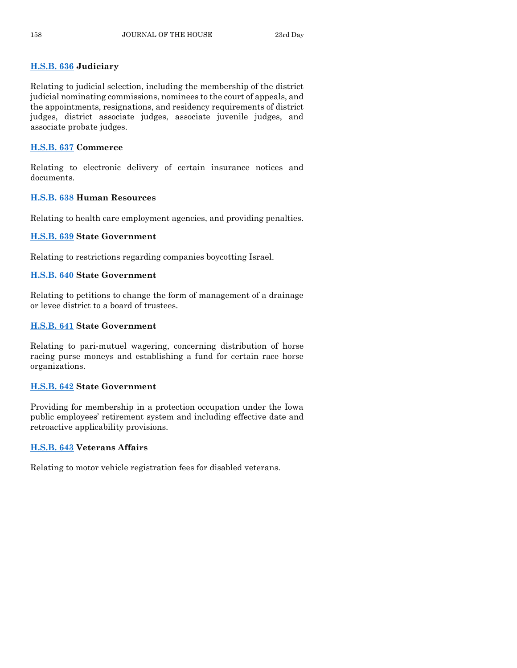# **[H.S.B. 636](https://www.legis.iowa.gov/legislation/BillBook?ga=89&ba=HSB636) Judiciary**

Relating to judicial selection, including the membership of the district judicial nominating commissions, nominees to the court of appeals, and the appointments, resignations, and residency requirements of district judges, district associate judges, associate juvenile judges, and associate probate judges.

# **[H.S.B. 637](https://www.legis.iowa.gov/legislation/BillBook?ga=89&ba=HSB637) Commerce**

Relating to electronic delivery of certain insurance notices and documents.

# **[H.S.B. 638](https://www.legis.iowa.gov/legislation/BillBook?ga=89&ba=HSB638) Human Resources**

Relating to health care employment agencies, and providing penalties.

# **[H.S.B. 639](https://www.legis.iowa.gov/legislation/BillBook?ga=89&ba=HSB639) State Government**

Relating to restrictions regarding companies boycotting Israel.

# **[H.S.B. 640](https://www.legis.iowa.gov/legislation/BillBook?ga=89&ba=HSB640) State Government**

Relating to petitions to change the form of management of a drainage or levee district to a board of trustees.

# **[H.S.B. 641](https://www.legis.iowa.gov/legislation/BillBook?ga=89&ba=HSB641) State Government**

Relating to pari-mutuel wagering, concerning distribution of horse racing purse moneys and establishing a fund for certain race horse organizations.

## **[H.S.B. 642](https://www.legis.iowa.gov/legislation/BillBook?ga=89&ba=HSB642) State Government**

Providing for membership in a protection occupation under the Iowa public employees' retirement system and including effective date and retroactive applicability provisions.

# **[H.S.B. 643](https://www.legis.iowa.gov/legislation/BillBook?ga=89&ba=HSB643) Veterans Affairs**

Relating to motor vehicle registration fees for disabled veterans.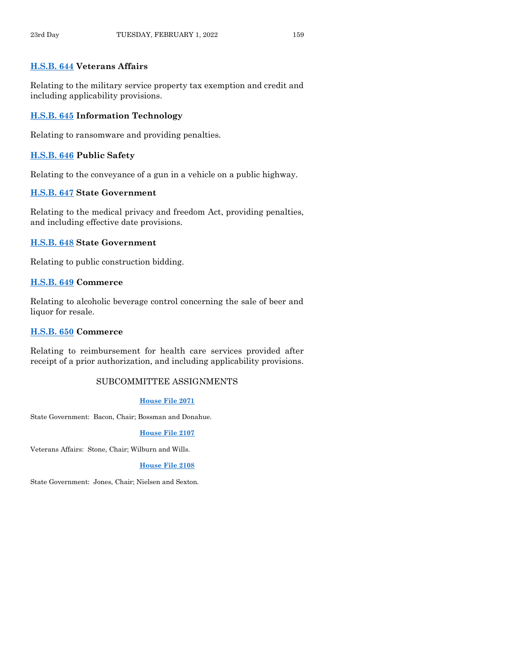# **[H.S.B. 644](https://www.legis.iowa.gov/legislation/BillBook?ga=89&ba=HSB644) Veterans Affairs**

Relating to the military service property tax exemption and credit and including applicability provisions.

# **[H.S.B. 645](https://www.legis.iowa.gov/legislation/BillBook?ga=89&ba=HSB645) Information Technology**

Relating to ransomware and providing penalties.

# **[H.S.B. 646](https://www.legis.iowa.gov/legislation/BillBook?ga=89&ba=HSB646) Public Safety**

Relating to the conveyance of a gun in a vehicle on a public highway.

# **[H.S.B. 647](https://www.legis.iowa.gov/legislation/BillBook?ga=89&ba=HSB647) State Government**

Relating to the medical privacy and freedom Act, providing penalties, and including effective date provisions.

# **[H.S.B. 648](https://www.legis.iowa.gov/legislation/BillBook?ga=89&ba=HSB648) State Government**

Relating to public construction bidding.

# **[H.S.B. 649](https://www.legis.iowa.gov/legislation/BillBook?ga=89&ba=HSB649) Commerce**

Relating to alcoholic beverage control concerning the sale of beer and liquor for resale.

# **[H.S.B. 650](https://www.legis.iowa.gov/legislation/BillBook?ga=89&ba=HSB650) Commerce**

Relating to reimbursement for health care services provided after receipt of a prior authorization, and including applicability provisions.

# SUBCOMMITTEE ASSIGNMENTS

# **[House File 2071](https://www.legis.iowa.gov/legislation/BillBook?ga=89&ba=HF2071)**

State Government: Bacon, Chair; Bossman and Donahue.

**[House File 2107](https://www.legis.iowa.gov/legislation/BillBook?ga=89&ba=HF2107)**

Veterans Affairs: Stone, Chair; Wilburn and Wills.

# **[House File 2108](https://www.legis.iowa.gov/legislation/BillBook?ga=89&ba=HF2108)**

State Government: Jones, Chair; Nielsen and Sexton.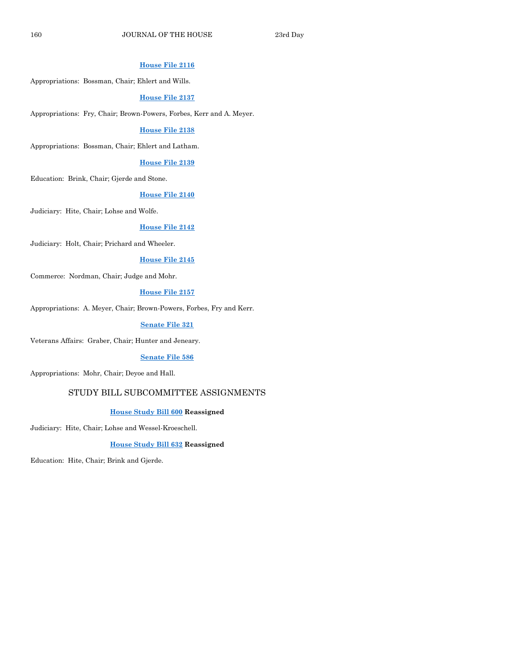#### **[House File 2116](https://www.legis.iowa.gov/legislation/BillBook?ga=89&ba=HF2116)**

Appropriations: Bossman, Chair; Ehlert and Wills.

#### **[House File 2137](https://www.legis.iowa.gov/legislation/BillBook?ga=89&ba=HF2137)**

Appropriations: Fry, Chair; Brown-Powers, Forbes, Kerr and A. Meyer.

#### **[House File 2138](https://www.legis.iowa.gov/legislation/BillBook?ga=89&ba=HF2138)**

Appropriations: Bossman, Chair; Ehlert and Latham.

#### **[House File 2139](https://www.legis.iowa.gov/legislation/BillBook?ga=89&ba=HF2139)**

Education: Brink, Chair; Gjerde and Stone.

#### **[House File 2140](https://www.legis.iowa.gov/legislation/BillBook?ga=89&ba=HF2140)**

Judiciary: Hite, Chair; Lohse and Wolfe.

#### **[House File 2142](https://www.legis.iowa.gov/legislation/BillBook?ga=89&ba=HF2142)**

Judiciary: Holt, Chair; Prichard and Wheeler.

#### **[House File 2145](https://www.legis.iowa.gov/legislation/BillBook?ga=89&ba=HF2145)**

Commerce: Nordman, Chair; Judge and Mohr.

#### **[House File 2157](https://www.legis.iowa.gov/legislation/BillBook?ga=89&ba=HF2157)**

Appropriations: A. Meyer, Chair; Brown-Powers, Forbes, Fry and Kerr.

#### **[Senate File 321](https://www.legis.iowa.gov/legislation/BillBook?ga=89&ba=SF321)**

Veterans Affairs: Graber, Chair; Hunter and Jeneary.

#### **[Senate File 586](https://www.legis.iowa.gov/legislation/BillBook?ga=89&ba=SF586)**

Appropriations: Mohr, Chair; Deyoe and Hall.

#### STUDY BILL SUBCOMMITTEE ASSIGNMENTS

#### **[House Study Bill 600](https://www.legis.iowa.gov/legislation/BillBook?ga=89&ba=HSB600) Reassigned**

Judiciary: Hite, Chair; Lohse and Wessel-Kroeschell.

#### **[House Study Bill 632](https://www.legis.iowa.gov/legislation/BillBook?ga=89&ba=HSB632) Reassigned**

Education: Hite, Chair; Brink and Gjerde.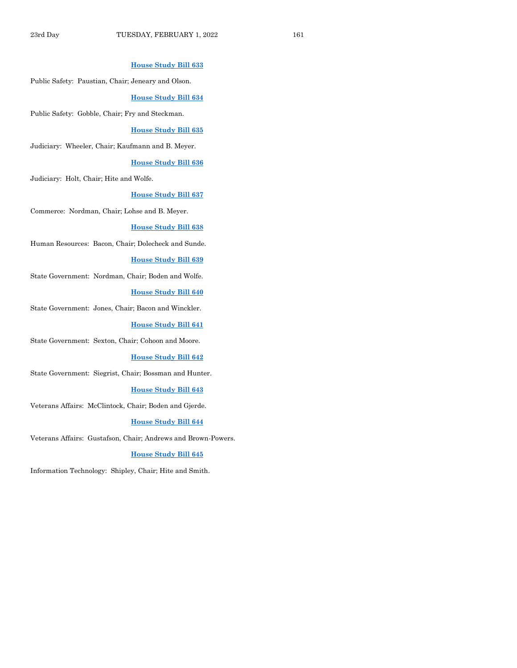#### **[House Study Bill 633](https://www.legis.iowa.gov/legislation/BillBook?ga=89&ba=HSB633)**

Public Safety: Paustian, Chair; Jeneary and Olson.

#### **[House Study Bill 634](https://www.legis.iowa.gov/legislation/BillBook?ga=89&ba=HSB634)**

Public Safety: Gobble, Chair; Fry and Steckman.

#### **[House Study Bill 635](https://www.legis.iowa.gov/legislation/BillBook?ga=89&ba=HSB635)**

Judiciary: Wheeler, Chair; Kaufmann and B. Meyer.

#### **[House Study Bill 636](https://www.legis.iowa.gov/legislation/BillBook?ga=89&ba=HSB636)**

Judiciary: Holt, Chair; Hite and Wolfe.

#### **[House Study Bill 637](https://www.legis.iowa.gov/legislation/BillBook?ga=89&ba=HSB637)**

Commerce: Nordman, Chair; Lohse and B. Meyer.

#### **[House Study Bill 638](https://www.legis.iowa.gov/legislation/BillBook?ga=89&ba=HSB638)**

Human Resources: Bacon, Chair; Dolecheck and Sunde.

#### **[House Study Bill 639](https://www.legis.iowa.gov/legislation/BillBook?ga=89&ba=HSB639)**

State Government: Nordman, Chair; Boden and Wolfe.

#### **[House Study Bill 640](https://www.legis.iowa.gov/legislation/BillBook?ga=89&ba=HSB640)**

State Government: Jones, Chair; Bacon and Winckler.

#### **[House Study Bill 641](https://www.legis.iowa.gov/legislation/BillBook?ga=89&ba=HSB641)**

State Government: Sexton, Chair; Cohoon and Moore.

#### **[House Study Bill 642](https://www.legis.iowa.gov/legislation/BillBook?ga=89&ba=HSB642)**

State Government: Siegrist, Chair; Bossman and Hunter.

#### **[House Study Bill 643](https://www.legis.iowa.gov/legislation/BillBook?ga=89&ba=HSB643)**

Veterans Affairs: McClintock, Chair; Boden and Gjerde.

#### **[House Study Bill 644](https://www.legis.iowa.gov/legislation/BillBook?ga=89&ba=HSB644)**

Veterans Affairs: Gustafson, Chair; Andrews and Brown-Powers.

#### **[House Study Bill 645](https://www.legis.iowa.gov/legislation/BillBook?ga=89&ba=HSB645)**

Information Technology: Shipley, Chair; Hite and Smith.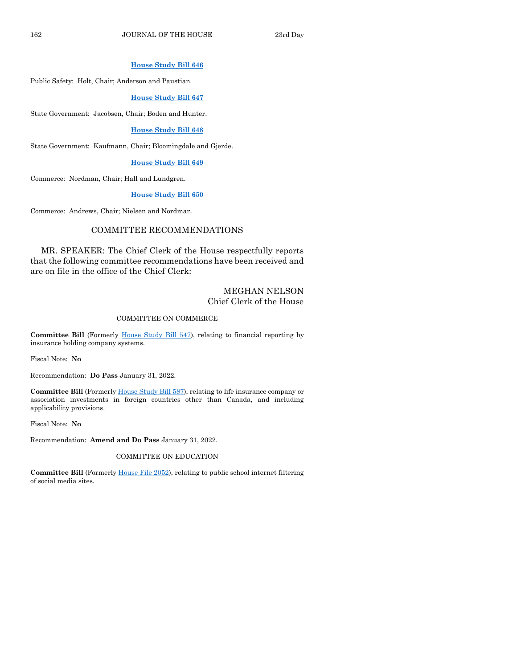#### **[House Study Bill 646](https://www.legis.iowa.gov/legislation/BillBook?ga=89&ba=HSB646)**

Public Safety: Holt, Chair; Anderson and Paustian.

**[House Study Bill 647](https://www.legis.iowa.gov/legislation/BillBook?ga=89&ba=HSB647)**

State Government: Jacobsen, Chair; Boden and Hunter.

#### **[House Study Bill 648](https://www.legis.iowa.gov/legislation/BillBook?ga=89&ba=HSB648)**

State Government: Kaufmann, Chair; Bloomingdale and Gjerde.

#### **[House Study Bill 649](https://www.legis.iowa.gov/legislation/BillBook?ga=89&ba=HSB649)**

Commerce: Nordman, Chair; Hall and Lundgren.

#### **[House Study Bill 650](https://www.legis.iowa.gov/legislation/BillBook?ga=89&ba=HSB650)**

Commerce: Andrews, Chair; Nielsen and Nordman.

## COMMITTEE RECOMMENDATIONS

MR. SPEAKER: The Chief Clerk of the House respectfully reports that the following committee recommendations have been received and are on file in the office of the Chief Clerk:

#### MEGHAN NELSON Chief Clerk of the House

#### COMMITTEE ON COMMERCE

**Committee Bill** (Formerly [House Study Bill 547\)](https://www.legis.iowa.gov/legislation/BillBook?ga=89&ba=HSB547), relating to financial reporting by insurance holding company systems.

Fiscal Note: **No**

Recommendation: **Do Pass** January 31, 2022.

**Committee Bill** (Formerl[y House Study Bill 587\)](https://www.legis.iowa.gov/legislation/BillBook?ga=89&ba=HSB587), relating to life insurance company or association investments in foreign countries other than Canada, and including applicability provisions.

Fiscal Note: **No**

Recommendation: **Amend and Do Pass** January 31, 2022.

#### COMMITTEE ON EDUCATION

Committee Bill (Formerly *House File 2052*), relating to public school internet filtering of social media sites.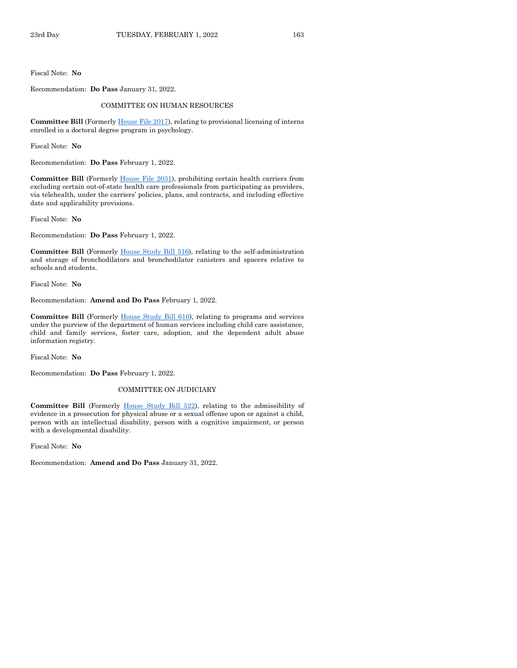Fiscal Note: **No**

Recommendation: **Do Pass** January 31, 2022.

#### COMMITTEE ON HUMAN RESOURCES

**Committee Bill** (Formerl[y House File 2017\)](https://www.legis.iowa.gov/legislation/BillBook?ga=89&ba=HF2017), relating to provisional licensing of interns enrolled in a doctoral degree program in psychology.

Fiscal Note: **No**

Recommendation: **Do Pass** February 1, 2022.

**Committee Bill** (Formerly [House File 2031\)](https://www.legis.iowa.gov/legislation/BillBook?ga=89&ba=HF2031), prohibiting certain health carriers from excluding certain out-of-state health care professionals from participating as providers, via telehealth, under the carriers' policies, plans, and contracts, and including effective date and applicability provisions.

Fiscal Note: **No**

Recommendation: **Do Pass** February 1, 2022.

**Committee Bill** (Formerly [House Study Bill 516\)](https://www.legis.iowa.gov/legislation/BillBook?ga=89&ba=HSB516), relating to the self-administration and storage of bronchodilators and bronchodilator canisters and spacers relative to schools and students.

Fiscal Note: **No**

Recommendation: **Amend and Do Pass** February 1, 2022.

**Committee Bill** (Formerly [House Study Bill 616\)](https://www.legis.iowa.gov/legislation/BillBook?ga=89&ba=HSB616), relating to programs and services under the purview of the department of human services including child care assistance, child and family services, foster care, adoption, and the dependent adult abuse information registry.

Fiscal Note: **No**

Recommendation: **Do Pass** February 1, 2022.

#### COMMITTEE ON JUDICIARY

**Committee Bill** (Formerly [House Study Bill 522\)](https://www.legis.iowa.gov/legislation/BillBook?ga=89&ba=HSB522), relating to the admissibility of evidence in a prosecution for physical abuse or a sexual offense upon or against a child, person with an intellectual disability, person with a cognitive impairment, or person with a developmental disability.

Fiscal Note: **No**

Recommendation: **Amend and Do Pass** January 31, 2022.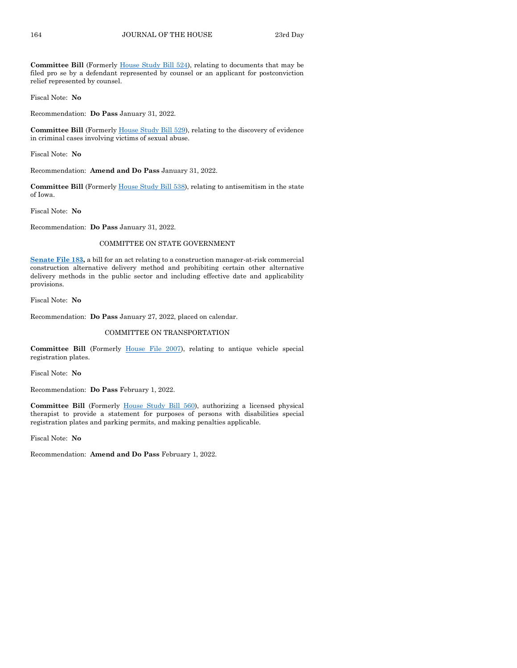Committee Bill (Formerly [House Study Bill 524\)](https://www.legis.iowa.gov/legislation/BillBook?ga=89&ba=HSB524), relating to documents that may be filed pro se by a defendant represented by counsel or an applicant for postconviction relief represented by counsel.

Fiscal Note: **No**

Recommendation: **Do Pass** January 31, 2022.

**Committee Bill** (Formerl[y House Study Bill 529\)](https://www.legis.iowa.gov/legislation/BillBook?ga=89&ba=HSB529), relating to the discovery of evidence in criminal cases involving victims of sexual abuse.

Fiscal Note: **No**

Recommendation: **Amend and Do Pass** January 31, 2022.

**Committee Bill** (Formerl[y House Study Bill 538\)](https://www.legis.iowa.gov/legislation/BillBook?ga=89&ba=HSB538), relating to antisemitism in the state of Iowa.

Fiscal Note: **No**

Recommendation: **Do Pass** January 31, 2022.

#### COMMITTEE ON STATE GOVERNMENT

**[Senate File 183,](https://www.legis.iowa.gov/legislation/BillBook?ga=89&ba=SF183)** a bill for an act relating to a construction manager-at-risk commercial construction alternative delivery method and prohibiting certain other alternative delivery methods in the public sector and including effective date and applicability provisions.

Fiscal Note: **No**

Recommendation: **Do Pass** January 27, 2022, placed on calendar.

#### COMMITTEE ON TRANSPORTATION

**Committee Bill** (Formerly [House File 2007\)](https://www.legis.iowa.gov/legislation/BillBook?ga=89&ba=HF2007), relating to antique vehicle special registration plates.

Fiscal Note: **No**

Recommendation: **Do Pass** February 1, 2022.

**Committee Bill** (Formerly [House Study Bill 560\)](https://www.legis.iowa.gov/legislation/BillBook?ga=89&ba=HSB560), authorizing a licensed physical therapist to provide a statement for purposes of persons with disabilities special registration plates and parking permits, and making penalties applicable.

Fiscal Note: **No**

Recommendation: **Amend and Do Pass** February 1, 2022.